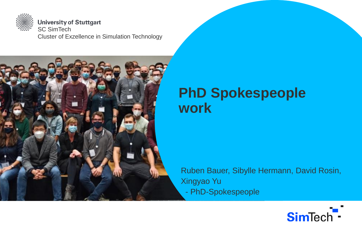

**University of Stuttgart** SC SimTech Cluster of Exzellence in Simulation Technology



# **PhD Spokespeople work**

Ruben Bauer, Sibylle Hermann, David Rosin, Xingyao Yu - PhD-Spokespeople

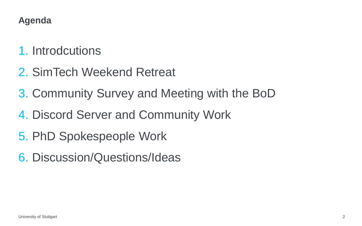## **Agenda**

- 1. Introdcutions
- 2. SimTech Weekend Retreat
- 3. Community Survey and Meeting with the BoD
- 4. Discord Server and Community Work
- 5. PhD Spokespeople Work
- 6. Discussion/Questions/Ideas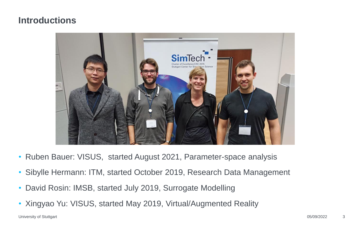#### **Introductions**



- Ruben Bauer: VISUS, started August 2021, Parameter-space analysis
- Sibylle Hermann: ITM, started October 2019, Research Data Management
- David Rosin: IMSB, started July 2019, Surrogate Modelling
- Xingyao Yu: VISUS, started May 2019, Virtual/Augmented Reality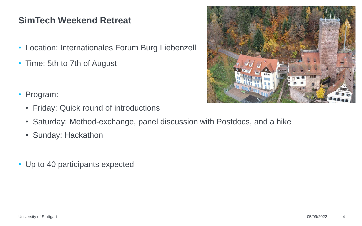# **SimTech Weekend Retreat**

- Location: Internationales Forum Burg Liebenzell
- Time: 5th to 7th of August
- Program:
	- Friday: Quick round of introductions
	- Saturday: Method-exchange, panel discussion with Postdocs, and a hike
	- Sunday: Hackathon
- Up to 40 participants expected

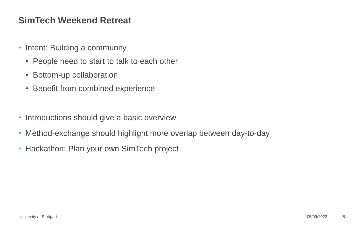## **SimTech Weekend Retreat**

- Intent: Building a community
	- People need to start to talk to each other
	- Bottom-up collaboration
	- Benefit from combined experience
- Introductions should give a basic overview
- Method-exchange should highlight more overlap between day-to-day
- Hackathon: Plan your own SimTech project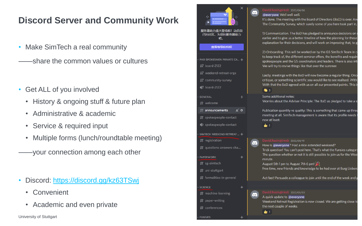# **Discord Server and Community Work**

- Make SimTech a real community
- ——share the common values or cultures
- Get ALL of you involved
	- History & ongoing stuff & future plan
	- Administrative & academic
	- Service & required input
	- Multiple forms (lunch/roundtable meeting)
	- ——your connection among each other
- Discord: <https://discord.gg/kz63TSwj>
	- Convenient
	- Academic and even private

University of Stuttgart **08/2020 68/2020 68/2020 68/2020 68/2020** 68/2020 68/2020 68/2020 68/2020 68

| $\times$<br>服务器助力盛大登场啦!动员自<br>己的社区,为您的服务器助力<br>吧。<br>查看等级和特权<br>PHD SPOKESMEN PRIVATE CA +<br>$\ddagger$ board-2122 |     | David.Rosin@imsb 2022/04/06<br>@everyone Well well well.<br>It's done. The meeting with the Board of Directors (BoD) is over. And<br>The Community Survey, which surely some of you here took part in,<br>1) Communication. The BoD has pledged to announce decisions on s<br>earlier and to give us a better timeline of how the planning for these<br>explanation for their decisions, and will work on improving that, to g<br>2) Onboarding. This will be worked on by the GS SimTech Team in co<br>to keep track of, the different seminar offers, the benefits and require<br>spokespeople and the GS coordinators and leaders. There is also inte<br>We will try to revive things like that over the summer. |
|---------------------------------------------------------------------------------------------------------------------|-----|---------------------------------------------------------------------------------------------------------------------------------------------------------------------------------------------------------------------------------------------------------------------------------------------------------------------------------------------------------------------------------------------------------------------------------------------------------------------------------------------------------------------------------------------------------------------------------------------------------------------------------------------------------------------------------------------------------------------|
| # weekend-retreat-orga<br># community-survey<br>$\bullet$ board-2122                                                |     | Lastly, meetings with the BoD will now become a regular thing. Once<br>critique, or something scientific you would like to see realised. With<br>With that the BoD agreed with us on all our presented points. This is<br><b>S</b> 3                                                                                                                                                                                                                                                                                                                                                                                                                                                                                |
| <b>GENERAL</b><br>$#$ welcome                                                                                       |     | Some additional notes:<br>Worries about the Adviser Principle: The BoD as pledged to take a st                                                                                                                                                                                                                                                                                                                                                                                                                                                                                                                                                                                                                      |
| $\#$ announcements<br>1 Ö<br>$\#$ spokespeople-contact<br>→ spokespeople-contact                                    |     | Publication quantity vs quality: This is something that came up throu<br>meeting at all. SimTech management is aware that its profile needs t<br>now at least.<br>₩ 1                                                                                                                                                                                                                                                                                                                                                                                                                                                                                                                                               |
| SIMTECH WEEKEND RETREAT  +                                                                                          |     |                                                                                                                                                                                                                                                                                                                                                                                                                                                                                                                                                                                                                                                                                                                     |
| $#$ registration<br>$#$ questions-answers-cha                                                                       | 0.0 | David.Rosin@imsb 2022/04/19<br>How is @everyone? Had a nice extended weekend?<br>Trick question! You can't post here. That's what the Funsies category                                                                                                                                                                                                                                                                                                                                                                                                                                                                                                                                                              |
| <b>PAPERWORK</b>                                                                                                    |     | The question whether or not it is still possible to join us for the Weel                                                                                                                                                                                                                                                                                                                                                                                                                                                                                                                                                                                                                                            |
| $#$ sg-simtech                                                                                                      |     | minute.<br>August 5th 1 pm to August 7th 6 pm!                                                                                                                                                                                                                                                                                                                                                                                                                                                                                                                                                                                                                                                                      |
| $#$ uni-stuttgart                                                                                                   |     | Free time, new friends and knowledge to be had over at Burg Lieben:                                                                                                                                                                                                                                                                                                                                                                                                                                                                                                                                                                                                                                                 |
| $\#$ formalities-in-general                                                                                         |     | Act fast! Persuade a colleague to join until the end of the week and g                                                                                                                                                                                                                                                                                                                                                                                                                                                                                                                                                                                                                                              |
| <b>SCIENCE</b><br>÷                                                                                                 |     |                                                                                                                                                                                                                                                                                                                                                                                                                                                                                                                                                                                                                                                                                                                     |
| $#$ machine-learning                                                                                                |     | David.Rosin@imsb 2022/05/03                                                                                                                                                                                                                                                                                                                                                                                                                                                                                                                                                                                                                                                                                         |
|                                                                                                                     |     | A quick update to @everyone                                                                                                                                                                                                                                                                                                                                                                                                                                                                                                                                                                                                                                                                                         |
| $\#$ paper-writing                                                                                                  |     | Weekend Retreat Registration is now closed. We are getting close to<br>the next couple of weeks.                                                                                                                                                                                                                                                                                                                                                                                                                                                                                                                                                                                                                    |
| $\#$ conferences                                                                                                    |     | <b>b</b> 1                                                                                                                                                                                                                                                                                                                                                                                                                                                                                                                                                                                                                                                                                                          |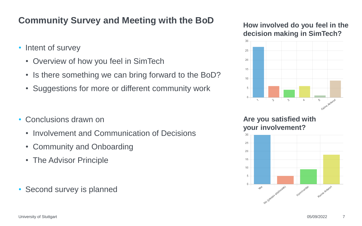# **Community Survey and Meeting with the BoD**

- Intent of survey
	- Overview of how you feel in SimTech
	- Is there something we can bring forward to the BoD?
	- Suggestions for more or different community work
- Conclusions drawn on
	- Involvement and Communication of Decisions
	- Community and Onboarding
	- The Advisor Principle
- Second survey is planned

**How involved do you feel in the decision making in SimTech?**



**Are you satisfied with your involvement?**



University of Stuttgart **7** and 2022 **19 and 20** and 2012 **19 and 2013 7** and 2013 **7** and 2013 **7** and 2013 **7** and 2013 **7** and 2013 **7** and 2013 **7** and 2013 **7** and 2013 **7** and 2013 **7** and 2013 **7** and 2013 **7** and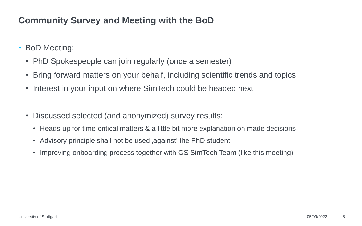# **Community Survey and Meeting with the BoD**

- BoD Meeting:
	- PhD Spokespeople can join regularly (once a semester)
	- Bring forward matters on your behalf, including scientific trends and topics
	- Interest in your input on where SimTech could be headed next
	- Discussed selected (and anonymized) survey results:
		- Heads-up for time-critical matters & a little bit more explanation on made decisions
		- Advisory principle shall not be used , against the PhD student
		- Improving onboarding process together with GS SimTech Team (like this meeting)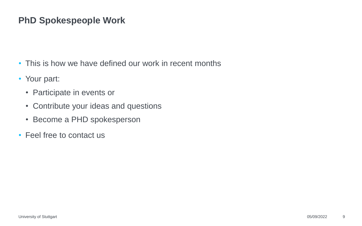## **PhD Spokespeople Work**

- This is how we have defined our work in recent months
- Your part:
	- Participate in events or
	- Contribute your ideas and questions
	- Become a PHD spokesperson
- Feel free to contact us